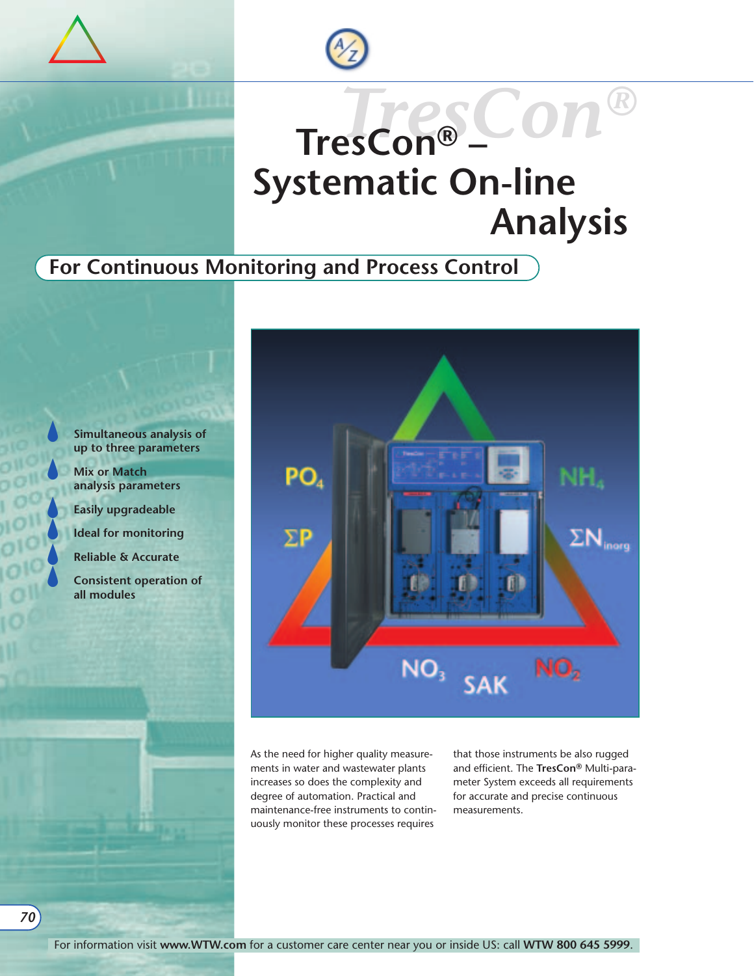

# *TresCon®* **TresCon® – Systematic On-line Analysis**

### **For Continuous Monitoring and Process Control**



*70*

**Simultaneous analysis of up to three parameters**

**Mix or Match analysis parameters**

**Easily upgradeable**

**Ideal for monitoring**

**Reliable & Accurate**

**Consistent operation of all modules**



As the need for higher quality measurements in water and wastewater plants increases so does the complexity and degree of automation. Practical and maintenance-free instruments to continuously monitor these processes requires

that those instruments be also rugged and efficient. The **TresCon®** Multi-parameter System exceeds all requirements for accurate and precise continuous measurements.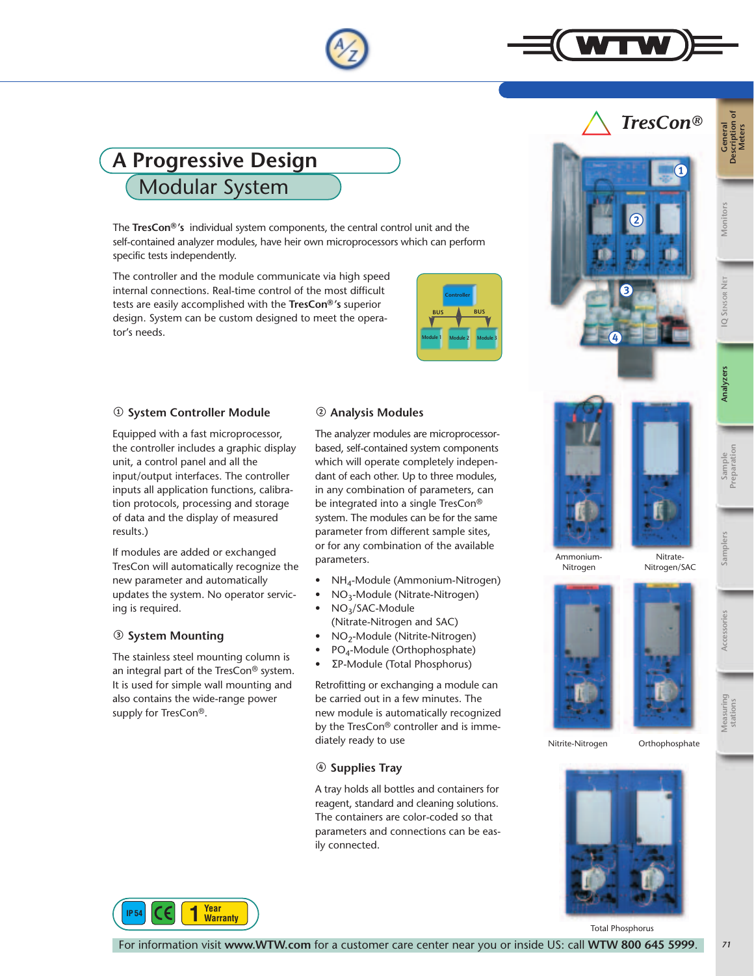

### **A Progressive Design** Modular System

The **TresCon®'s** individual system components, the central control unit and the self-contained analyzer modules, have heir own microprocessors which can perform specific tests independently.

The controller and the module communicate via high speed internal connections. Real-time control of the most difficult tests are easily accomplished with the **TresCon®'s** superior design. System can be custom designed to meet the operator's needs.

|            | <b>Controller</b>   |            |
|------------|---------------------|------------|
| <b>BUS</b> |                     | <b>BUS</b> |
|            |                     |            |
| Module 1   | Module <sub>2</sub> | Module 3   |
|            |                     |            |

### 1 **System Controller Module**

Equipped with a fast microprocessor, the controller includes a graphic display unit, a control panel and all the input/output interfaces. The controller inputs all application functions, calibration protocols, processing and storage of data and the display of measured results.)

If modules are added or exchanged TresCon will automatically recognize the new parameter and automatically updates the system. No operator servicing is required.

### 3 **System Mounting**

The stainless steel mounting column is an integral part of the TresCon® system. It is used for simple wall mounting and also contains the wide-range power supply for TresCon®.

### 2 **Analysis Modules**

The analyzer modules are microprocessorbased, self-contained system components which will operate completely independant of each other. Up to three modules, in any combination of parameters, can be integrated into a single TresCon® system. The modules can be for the same parameter from different sample sites, or for any combination of the available parameters.

- NH<sub>4</sub>-Module (Ammonium-Nitrogen)
- $NO_3$ -Module (Nitrate-Nitrogen)<br>•  $NO_3$ /SAC-Module
- NO3/SAC-Module (Nitrate-Nitrogen and SAC)
- NO2-Module (Nitrite-Nitrogen)
- PO4-Module (Orthophosphate)
- ΣP-Module (Total Phosphorus)

Retrofitting or exchanging a module can be carried out in a few minutes. The new module is automatically recognized by the TresCon® controller and is immediately ready to use

### 4 **Supplies Tray**

A tray holds all bottles and containers for reagent, standard and cleaning solutions. The containers are color-coded so that parameters and connections can be easily connected.



3

 $\overline{2}$ 



 $\bullet$ 

*TresCon®*

**General Description of Meters**

**Monitors**

**IQ SENSOR NET**

**IQ SENSOR** 

**Analyzers**

**Sample Preparation**

**Samplers**

**Accessories**

**Measuring stations**

Ammonium-Nitrogen

Nitrate-Nitrogen/SAC



Nitrite-Nitrogen Orthophosphate



**Year Warranty** 

Total Phosphorus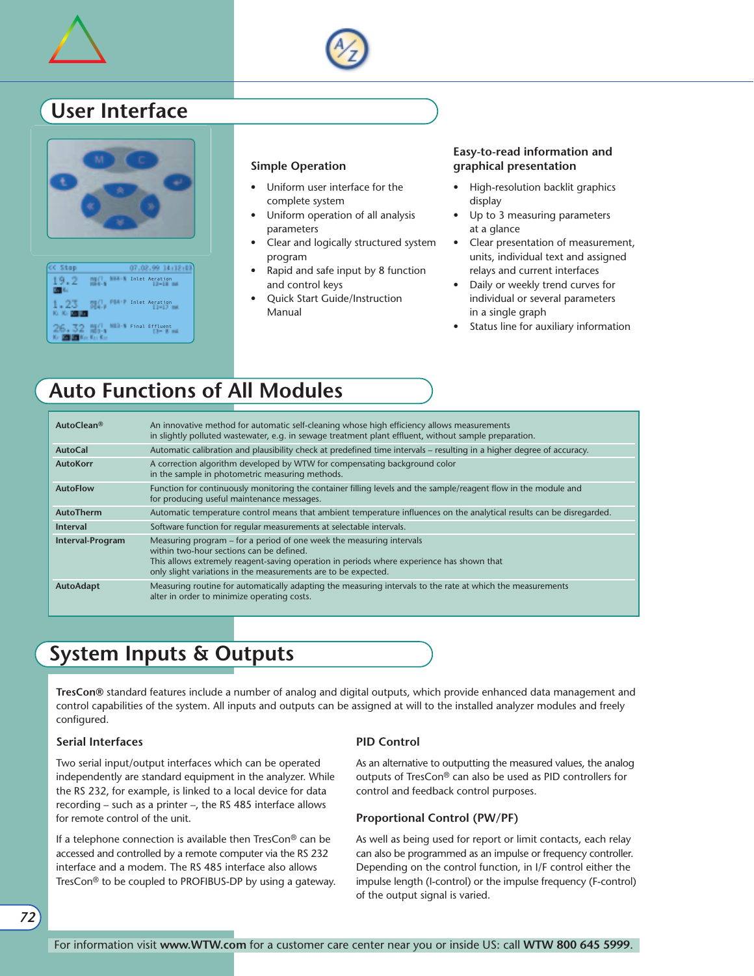



### **User Interface**





#### **Simple Operation**

- Uniform user interface for the complete system
- Uniform operation of all analysis parameters
- Clear and logically structured system program
- Rapid and safe input by 8 function and control keys
- Quick Start Guide/Instruction Manual

#### **Easy-to-read information and graphical presentation**

- High-resolution backlit graphics display
- Up to 3 measuring parameters at a glance
- Clear presentation of measurement, units, individual text and assigned relays and current interfaces
- Daily or weekly trend curves for individual or several parameters in a single graph
- Status line for auxiliary information

### **Auto Functions of All Modules**

| AutoClean <sup>®</sup>  | An innovative method for automatic self-cleaning whose high efficiency allows measurements<br>in slightly polluted wastewater, e.g. in sewage treatment plant effluent, without sample preparation.                                                                             |
|-------------------------|---------------------------------------------------------------------------------------------------------------------------------------------------------------------------------------------------------------------------------------------------------------------------------|
| <b>AutoCal</b>          | Automatic calibration and plausibility check at predefined time intervals – resulting in a higher degree of accuracy.                                                                                                                                                           |
| <b>AutoKorr</b>         | A correction algorithm developed by WTW for compensating background color<br>in the sample in photometric measuring methods.                                                                                                                                                    |
| <b>AutoFlow</b>         | Function for continuously monitoring the container filling levels and the sample/reagent flow in the module and<br>for producing useful maintenance messages.                                                                                                                   |
| AutoTherm               | Automatic temperature control means that ambient temperature influences on the analytical results can be disregarded.                                                                                                                                                           |
| <b>Interval</b>         | Software function for regular measurements at selectable intervals.                                                                                                                                                                                                             |
| <b>Interval-Program</b> | Measuring program – for a period of one week the measuring intervals<br>within two-hour sections can be defined.<br>This allows extremely reagent-saving operation in periods where experience has shown that<br>only slight variations in the measurements are to be expected. |
| AutoAdapt               | Measuring routine for automatically adapting the measuring intervals to the rate at which the measurements<br>alter in order to minimize operating costs.                                                                                                                       |

### **System Inputs & Outputs**

**TresCon®** standard features include a number of analog and digital outputs, which provide enhanced data management and control capabilities of the system. All inputs and outputs can be assigned at will to the installed analyzer modules and freely configured.

#### **Serial Interfaces**

Two serial input/output interfaces which can be operated independently are standard equipment in the analyzer. While the RS 232, for example, is linked to a local device for data recording – such as a printer –, the RS 485 interface allows for remote control of the unit.

If a telephone connection is available then TresCon® can be accessed and controlled by a remote computer via the RS 232 interface and a modem. The RS 485 interface also allows TresCon® to be coupled to PROFIBUS-DP by using a gateway.

#### **PID Control**

As an alternative to outputting the measured values, the analog outputs of TresCon® can also be used as PID controllers for control and feedback control purposes.

#### **Proportional Control (PW/PF)**

As well as being used for report or limit contacts, each relay can also be programmed as an impulse or frequency controller. Depending on the control function, in I/F control either the impulse length (I-control) or the impulse frequency (F-control) of the output signal is varied.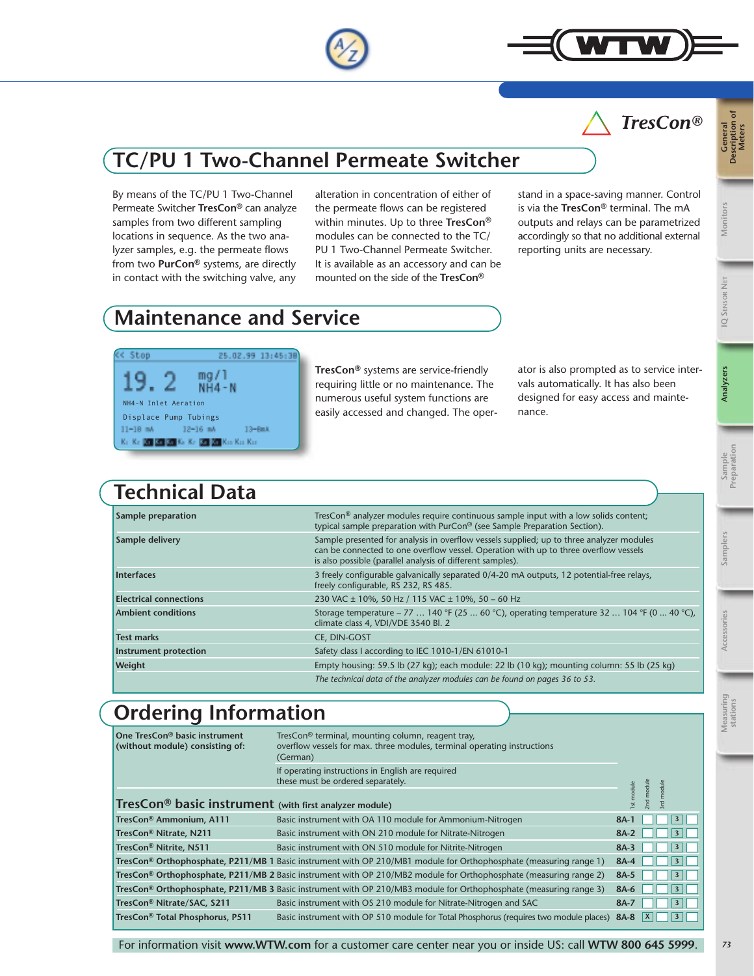

By means of the TC/PU 1 Two-Channel Permeate Switcher **TresCon®** can analyze samples from two different sampling locations in sequence. As the two analyzer samples, e.g. the permeate flows from two **PurCon®** systems, are directly in contact with the switching valve, any

the permeate flows can be registered within minutes. Up to three **TresCon®** modules can be connected to the TC/ PU 1 Two-Channel Permeate Switcher. It is available as an accessory and can be mounted on the side of the **TresCon®**

stand in a space-saving manner. Control is via the **TresCon®** terminal. The mA outputs and relays can be parametrized accordingly so that no additional external reporting units are necessary.

## **Maintenance and Service**

 $mg/1$  $NH4-N$ 

25.02.99 13:45:38

 $13 - 60.1$ 

**TresCon®** systems are service-friendly requiring little or no maintenance. The numerous useful system functions are easily accessed and changed. The operator is also prompted as to service intervals automatically. It has also been designed for easy access and maintenance.

### **Technical Data**

 $12-16$  mA Kr. Kr. 20 20 20 Kr. Kr. 20 20 Kr. Kr. Kr.

NH4-N Inlet Aeration Displace Pump Tubings

Stop

 $11 - 18$  mA

| Sample preparation            | TresCon <sup>®</sup> analyzer modules require continuous sample input with a low solids content;<br>typical sample preparation with PurCon <sup>®</sup> (see Sample Preparation Section).                                                      |  |
|-------------------------------|------------------------------------------------------------------------------------------------------------------------------------------------------------------------------------------------------------------------------------------------|--|
| Sample delivery               | Sample presented for analysis in overflow vessels supplied; up to three analyzer modules<br>can be connected to one overflow vessel. Operation with up to three overflow vessels<br>is also possible (parallel analysis of different samples). |  |
| Interfaces                    | 3 freely configurable galvanically separated 0/4-20 mA outputs, 12 potential-free relays,<br>freely configurable, RS 232, RS 485.                                                                                                              |  |
| <b>Electrical connections</b> | 230 VAC ± 10%, 50 Hz / 115 VAC ± 10%, 50 - 60 Hz                                                                                                                                                                                               |  |
| <b>Ambient conditions</b>     | Storage temperature – 77  140 °F (25  60 °C), operating temperature 32  104 °F (0  40 °C),<br>climate class 4, VDI/VDE 3540 Bl. 2                                                                                                              |  |
| <b>Test marks</b>             | CE. DIN-GOST                                                                                                                                                                                                                                   |  |
| Instrument protection         | Safety class I according to IEC 1010-1/EN 61010-1                                                                                                                                                                                              |  |
| <b>Weight</b>                 | Empty housing: 59.5 lb (27 kg); each module: 22 lb (10 kg); mounting column: 55 lb (25 kg)                                                                                                                                                     |  |
|                               | The technical data of the analyzer modules can be found on pages 36 to 53.                                                                                                                                                                     |  |

### **Ordering Information**

| One TresCon® basic instrument<br>(without module) consisting of:   |                                                                                                                                     |                                   |
|--------------------------------------------------------------------|-------------------------------------------------------------------------------------------------------------------------------------|-----------------------------------|
|                                                                    | If operating instructions in English are required<br>these must be ordered separately.                                              | 2nd modul<br>Ist modul            |
| TresCon <sup>®</sup> basic instrument (with first analyzer module) |                                                                                                                                     |                                   |
| TresCon® Ammonium, A111                                            | Basic instrument with OA 110 module for Ammonium-Nitrogen                                                                           | $8A-1$<br>$\overline{\mathbf{3}}$ |
| TresCon® Nitrate, N211                                             | Basic instrument with ON 210 module for Nitrate-Nitrogen                                                                            | $8A-2$                            |
| TresCon® Nitrite, N511                                             | Basic instrument with ON 510 module for Nitrite-Nitrogen                                                                            | $8A-3$                            |
|                                                                    | TresCon® Orthophosphate, P211/MB 1 Basic instrument with OP 210/MB1 module for Orthophosphate (measuring range 1)                   | $8A-4$<br>$\overline{\mathbf{3}}$ |
|                                                                    | TresCon® Orthophosphate, P211/MB 2 Basic instrument with OP 210/MB2 module for Orthophosphate (measuring range 2)                   | $8A-5$                            |
|                                                                    | <b>TresCon<sup>®</sup> Orthophosphate, P211/MB 3</b> Basic instrument with OP 210/MB3 module for Orthophosphate (measuring range 3) | 8A-6<br>$\overline{\mathbf{3}}$   |
| TresCon® Nitrate/SAC, S211                                         | Basic instrument with OS 210 module for Nitrate-Nitrogen and SAC                                                                    | $\overline{\mathbf{3}}$<br>$8A-7$ |
| TresCon <sup>®</sup> Total Phosphorus, P511                        | Basic instrument with OP 510 module for Total Phosphorus (requires two module places)                                               | 8A-8                              |

### alteration in concentration of either of



**IQ SENSOR NET**

**Accessories**